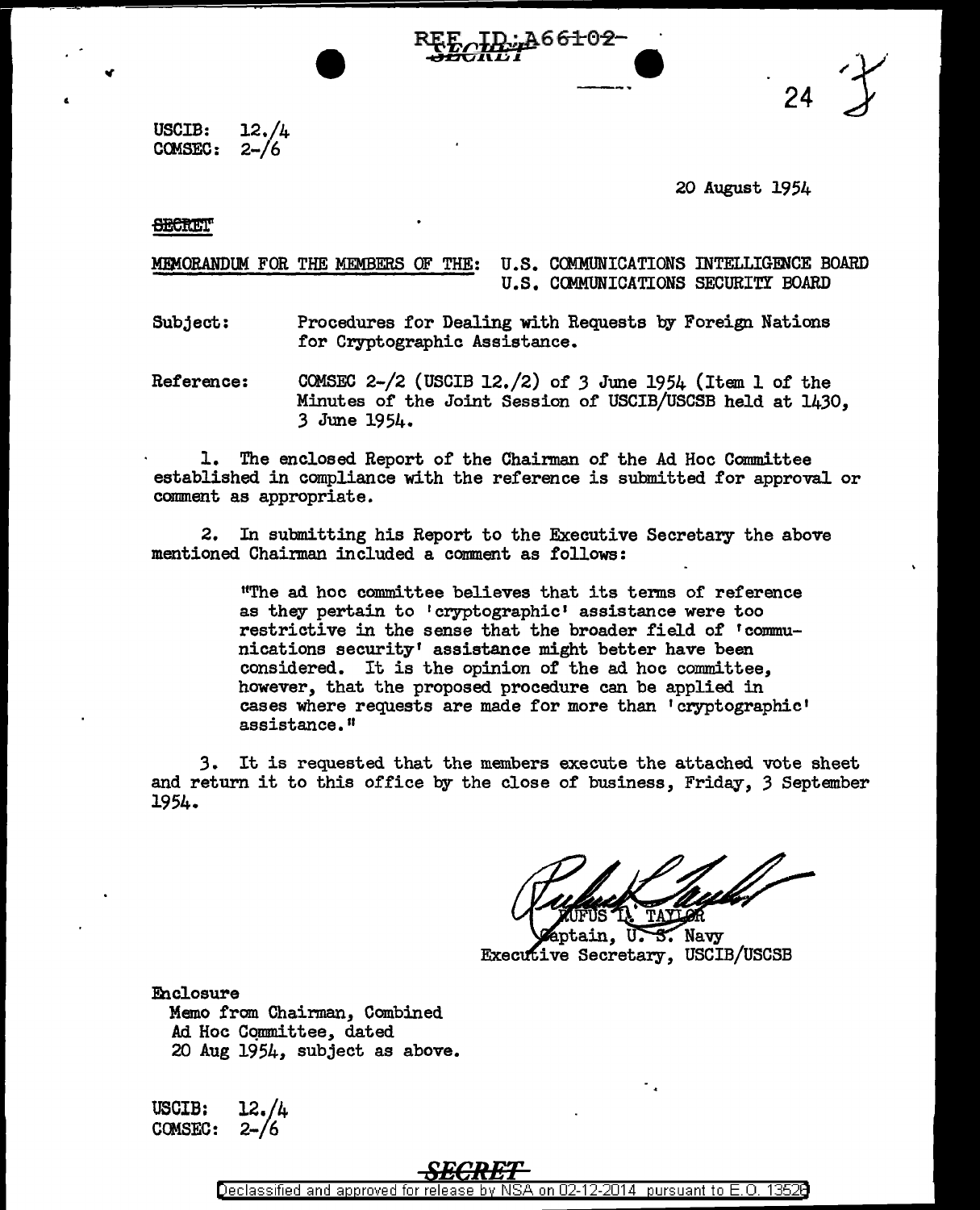24

USCIB: CCMSEC: 12./4  $2 - 16$ 

## 20 August 1954

#### **SECRET**

MEMORANDUM FOR THE MEMBERS OF THE: U.S. COMMUNICATIONS INTELLIGENCE BOARD U.S. COMMUNICATIONS SECURITY BOARD

A66<del>1</del>01

Subject: Procedures for Dealing with Requests by Foreign Nations for Cryptographic Assistance.

Reference: COMSEC 2-/2 (USCIB 12./2) of *3* June 1954 (Item 1 of the Minutes of the Joint Session of USCIB/USCSB held at 1430, 3 June 1954.

1. The enclosed Report of the Chairman of the Ad Hoc Committee established in compliance with the reference is submitted for approval or comment as appropriate.

2. In submitting his Report to the Executive Secretary the above mentioned Chairman included a comment as follows:

> 11The ad hoc committee believes that its terms of reference as they pertain to 'cryptographic• assistance were too restrictive in the sense that the broader field of 'communications security' assistance might better have been considered. It is the opinion of the ad hoc committee, however, that the proposed procedure can be applied in cases where requests are made for more than 'cryptographic' assistance."

3. It is requested that the members execute the attached vote sheet and return it to this office by the close of business, Friday, 3 September 1954.

 $\sim$  Navy ptain. U. **Executive Secretary, USCIB/USCSB** 

Eh closure Memo from Chairman, Combined Ad Hoc Committee, dated 20 Aug 1954, subject as above.

USCIB: COMSEC: 12./4 2-/6

Declassified and approved for release by NSA on 02-12-2014 pursuant to E.O. 13526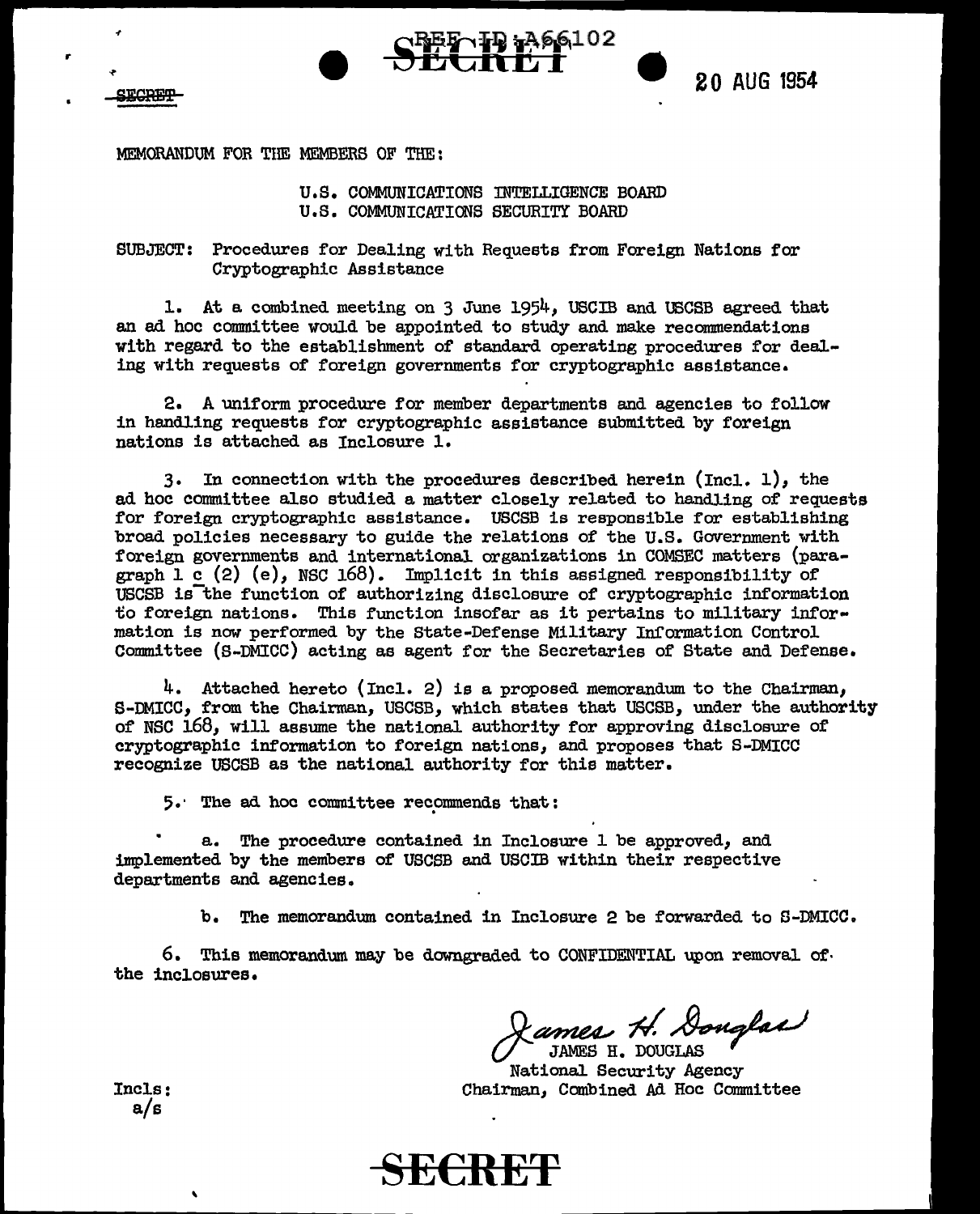

r

**SECREP** 



MEMORANDUM FOR THE MEMBERS OF THE:

## U.S. COMMUNICATIONS INTELLIGENCE BOARD U.S. COMMUNICATIONS SECURITY BOARD

6102

SUBJECT: Procedures for Dealing with Requests from Foreign Nations for Cryptographic Assistance

1. At a combined meeting on 3 June 1954, USCIB and USCSB agreed that an ad hoc committee would be appointed to study and make recommendations with regard to the establishment of standard operating procedures for dealing with requests of foreign governments for cryptographic assistance.

2. A uniform procedure for member departments and agencies to follow in handling requests for cryptographic assistance submitted by foreign nations is attached as Inclosure 1.

3. In connection with the procedures described herein (Incl. 1), the ad hoc committee also studied a matter closely related to handling of requests for foreign cryptographic assistance. USCSB is responsible for establishing broad policies necessary to guide the relations of the U.S. Government with foreign governments and international organizations in COMSEC matters (paragraph  $l$  c  $(2)$   $(e)$ , NSC 168). Implicit in this assigned responsibility of USCSB is the function of authorizing disclosure of cryptographic information to foreign nations. This function insofar as it pertains to military information is now performed by the State-Defense Military Information Control Committee {S-DMICC) acting as agent for the Secretaries of State and Defense.

4. Attached hereto (Incl. 2) is a proposed memorandum to the Chairman, S-DMICC, from the Chairman, USCSB, which states that USCSB, under the authority of NSC 168, will assume the national authority for approving disclosure of cryptographic information to foreign nations, and proposes that S-DMICC recognize USCSB as the national authority for this matter.

5. The ad hoc committee recommends that:

a. The procedure contained in Inclosure 1 be approved, and implemented by the members of USCSB and USCIB within their respective departments and agencies.

b. The memorandum contained in Inclosure 2 be forwarded to S-DMICC.

 $6.$  This memorandum may be downgraded to CONFIDENTIAL upon removal of. the inclosures.

 $\mathscr{O}$ ames H. Douglas

National Security Agency Chairman, Combined Ali Hoc Committee

Incls: a/s

'

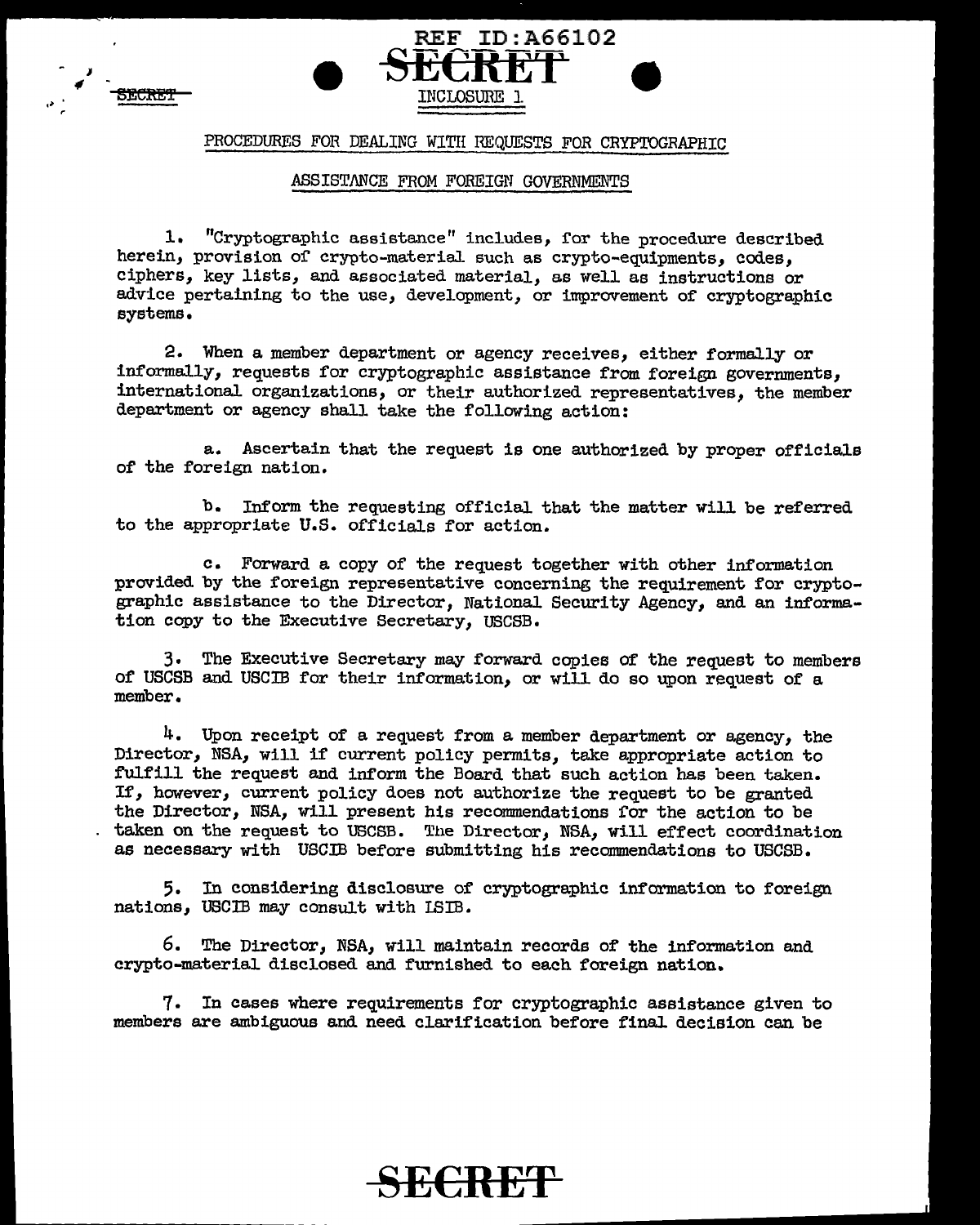



# PROCEDURES FOR DEALING WITH REQUESTS FOR CRYPTOGRAPHIC

## ASSISTANCE FROM FOREIGN GOVERNMENTS

1. "Cryptographic assistance" includes, for the procedure described herein, provision of crypto-material such as crypto-equipments, codes, ciphers, key lists, and associated material, as well as instructions or advice pertaining to the use, development, or improvement of cryptographic systems.

2. When a member department or agency receives, either formaJ.ly or informally, requests for cryptographic assistance from foreign governments, international organizations, or their authorized representatives, the member department or agency shall take the following action:

a. Ascertain that the request is one authorized by proper officials of the foreign nation.

b. Inform the requesting official that the matter will be referred to the appropriate U.S. officials for action.

c. Forward a copy of the request together with other information provided by the foreign representative concerning the requirement for cryptographic assistance to the Director, National Security Agency, and an information copy to the Executive Secretary, USCSB.

3. The Executive Secretary may forward copies of the request to members of USCSB and USCIB for their information, or will do so upon request of a member.

4. Upon receipt of a request from a member department or agency, the Director, NSA, will if current policy permits, take appropriate action to fulfill the request and inform the Board that such action has been taken. If, however, current policy does not authorize the request to be granted the Director, NSA, will present his recommendations for the action to be taken on the request to USCSB. The Director, NSA, will effect coordination as necessary with USC.IB before submitting his recommendations to USCSB.

5. In considering disclosure of cryptographic information to foreign nations, USCIB may consult with !SIB.

6. The Director, NSA, will maintain records of the information and crypto-material disclosed and furnished to each foreign nation.

7. In cases where requirements for cryptographic assistance given to members are ambiguous and need clarification before final. decision can be

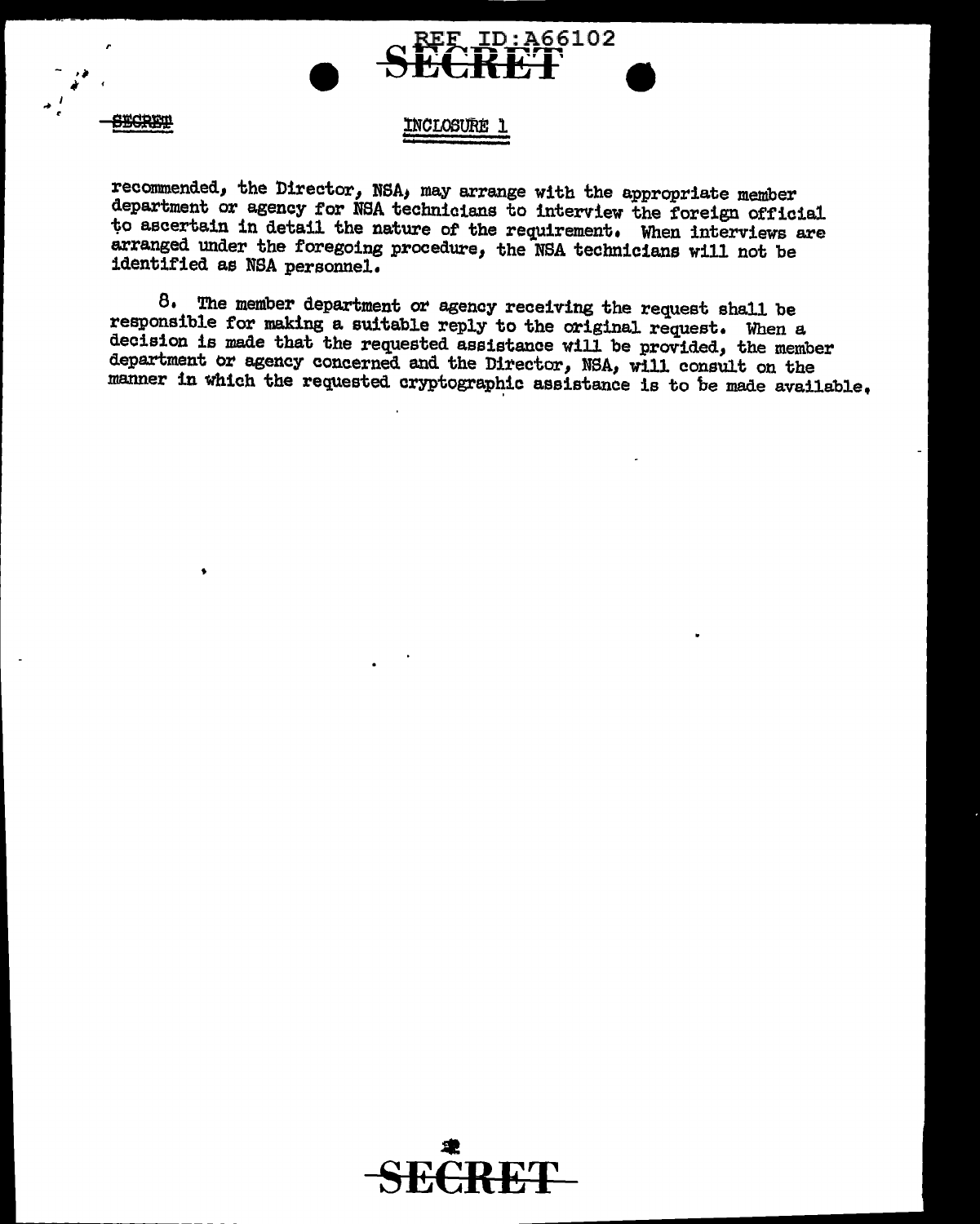

 $\overline{a}$ • *r* 

**BECREW** 

 $\bullet$ 

# !NCLOStJRE: l

reconnnended, the Director, NSA; may arrange with the appropriate member department or agency for NSA technicians to interview the foreign official to ascertain in detail the nature of the requirement. When interviews are arranged under the foregoing procedure, the NSA technicians will not be identified as NSA personnel.

8. The member department or agency receiving the request shall be responsible for making a suitable reply to the original request. When a decision is made that the requested assistance will be provided, the member department or agency concerned and the Director, NSA, will consult on the manner in which the requested cryptographic assistance is to be made available.